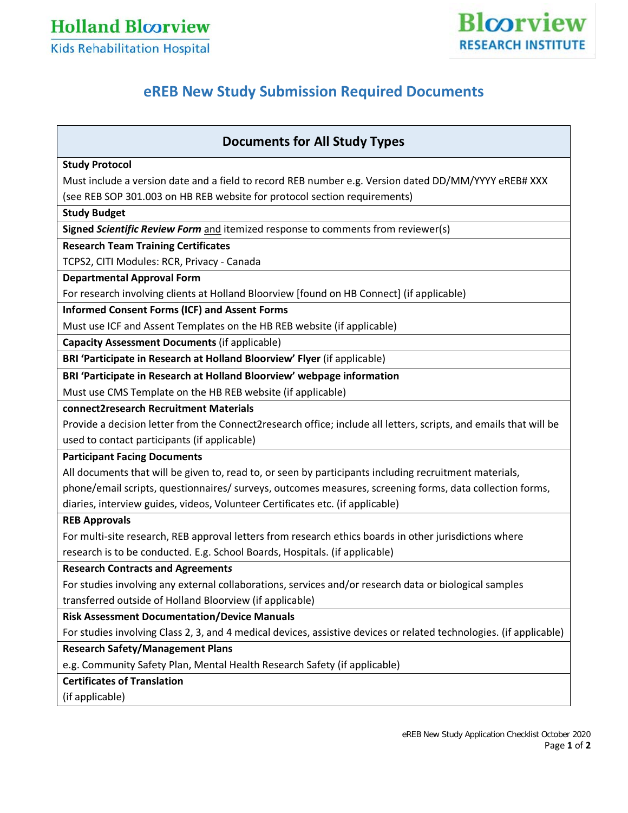**Holland Bloorview** 



### **Kids Rehabilitation Hospital**

# **eREB New Study Submission Required Documents**

## **Documents for All Study Types**

#### **Study Protocol**

Must include a version date and a field to record REB number e.g. Version dated DD/MM/YYYY eREB# XXX

(see REB SOP 301.003 on HB REB website for protocol section requirements)

#### **Study Budget**

**Signed** *Scientific Review Form* and itemized response to comments from reviewer(s)

#### **Research Team Training Certificates**

TCPS2, CITI Modules: RCR, Privacy - Canada

#### **Departmental Approval Form**

For research involving clients at Holland Bloorview [found on HB Connect] (if applicable)

#### **Informed Consent Forms (ICF) and Assent Forms**

Must use ICF and Assent Templates on the HB REB website (if applicable)

**Capacity Assessment Documents** (if applicable)

**BRI 'Participate in Research at Holland Bloorview' Flyer** (if applicable)

#### **BRI 'Participate in Research at Holland Bloorview' webpage information**

Must use CMS Template on the HB REB website (if applicable)

**connect2research Recruitment Materials**

Provide a decision letter from the Connect2research office; include all letters, scripts, and emails that will be used to contact participants (if applicable)

#### **Participant Facing Documents**

All documents that will be given to, read to, or seen by participants including recruitment materials, phone/email scripts, questionnaires/ surveys, outcomes measures, screening forms, data collection forms, diaries, interview guides, videos, Volunteer Certificates etc. (if applicable)

#### **REB Approvals**

For multi-site research, REB approval letters from research ethics boards in other jurisdictions where

research is to be conducted. E.g. School Boards, Hospitals. (if applicable)

#### **Research Contracts and Agreement***s*

For studies involving any external collaborations, services and/or research data or biological samples transferred outside of Holland Bloorview (if applicable)

#### **Risk Assessment Documentation/Device Manuals**

For studies involving Class 2, 3, and 4 medical devices, assistive devices or related technologies. (if applicable)

#### **Research Safety/Management Plans**

e.g. Community Safety Plan, Mental Health Research Safety (if applicable)

#### **Certificates of Translation**

(if applicable)